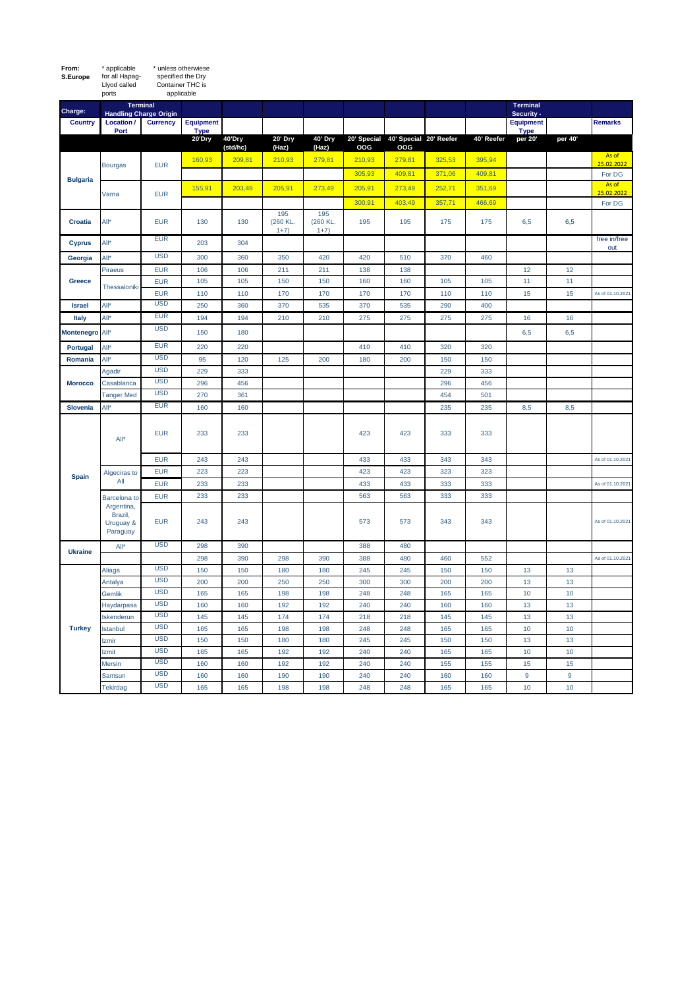| S.Europe        | specified the Dry<br>for all Hapag-<br>Llyod called<br>Container THC is<br>applicable<br>ports |                                                  |                                 |                    |                           |                           |            |                                           |            |            |                                 |          |                     |
|-----------------|------------------------------------------------------------------------------------------------|--------------------------------------------------|---------------------------------|--------------------|---------------------------|---------------------------|------------|-------------------------------------------|------------|------------|---------------------------------|----------|---------------------|
| Charge:         |                                                                                                | <b>Terminal</b><br><b>Handling Charge Origin</b> |                                 |                    |                           |                           |            |                                           |            |            | <b>Terminal</b><br>Security -   |          |                     |
| <b>Country</b>  | Location /<br>Port                                                                             | <b>Currency</b>                                  | <b>Equipment</b><br><b>Type</b> |                    |                           |                           |            |                                           |            |            | <b>Equipment</b><br><b>Type</b> |          | <b>Remarks</b>      |
|                 |                                                                                                |                                                  | 20'Dry                          | 40'Dry<br>(std/hc) | 20' Dry<br>(Haz)          | 40' Dry<br>(Haz)          | OOG        | 20' Special 40' Special 20' Reefer<br>OOG |            | 40' Reefer | per 20'                         | per 40'  |                     |
| <b>Bulgaria</b> | <b>Bourgas</b>                                                                                 | <b>EUR</b>                                       | 160,93                          | 209,81             | 210,93                    | 279,81                    | 210,93     | 279,81                                    | 325,53     | 395,94     |                                 |          | As of<br>25.02.2022 |
|                 |                                                                                                |                                                  |                                 |                    |                           |                           | 305,93     | 409,81                                    | 371,06     | 409,81     |                                 |          | For DG              |
|                 | Varna                                                                                          | <b>EUR</b>                                       | 155,91                          | 203,49             | 205,91                    | 273,49                    | 205,91     | 273,49                                    | 252,71     | 351,69     |                                 |          | As of<br>25.02.2022 |
|                 |                                                                                                |                                                  |                                 |                    |                           |                           | 300,91     | 403,49                                    | 357,71     | 466,69     |                                 |          | For DG              |
| <b>Croatia</b>  | All*                                                                                           | <b>EUR</b>                                       | 130                             | 130                | 195<br>(260 KL.<br>$1+7)$ | 195<br>(260 KL.<br>$1+7)$ | 195        | 195                                       | 175        | 175        | 6,5                             | 6,5      |                     |
| <b>Cyprus</b>   | All*                                                                                           | <b>EUR</b>                                       | 203                             | 304                |                           |                           |            |                                           |            |            |                                 |          | free in/free<br>out |
| Georgia         | All*                                                                                           | <b>USD</b>                                       | 300                             | 360                | 350                       | 420                       | 420        | 510                                       | 370        | 460        |                                 |          |                     |
| Greece          | Piraeus                                                                                        | <b>EUR</b>                                       | 106                             | 106                | 211                       | 211                       | 138        | 138                                       |            |            | 12                              | 12       |                     |
|                 | Thessaloniki                                                                                   | <b>EUR</b>                                       | 105                             | 105                | 150                       | 150                       | 160        | 160                                       | 105        | 105        | 11                              | 11       |                     |
|                 |                                                                                                | <b>EUR</b>                                       | 110                             | 110                | 170                       | 170                       | 170        | 170                                       | 110        | 110        | 15                              | 15       | As of 01.10.2021    |
| <b>Israel</b>   | All*                                                                                           | <b>USD</b>                                       | 250                             | 360                | 370                       | 535                       | 370        | 535                                       | 290        | 400        |                                 |          |                     |
| Italy           | All*                                                                                           | <b>EUR</b>                                       | 194                             | 194                | 210                       | 210                       | 275        | 275                                       | 275        | 275        | 16                              | 16       |                     |
| Montenegro All* |                                                                                                | <b>USD</b>                                       | 150                             | 180                |                           |                           |            |                                           |            |            | 6,5                             | 6,5      |                     |
| Portugal        | All*                                                                                           | <b>EUR</b>                                       | 220                             | 220                |                           |                           | 410        | 410                                       | 320        | 320        |                                 |          |                     |
| Romania         | All*                                                                                           | <b>USD</b>                                       | 95                              | 120                | 125                       | 200                       | 180        | 200                                       | 150        | 150        |                                 |          |                     |
| <b>Morocco</b>  | Agadir                                                                                         | <b>USD</b>                                       | 229                             | 333                |                           |                           |            |                                           | 229        | 333        |                                 |          |                     |
|                 | Casablanca                                                                                     | <b>USD</b><br><b>USD</b>                         | 296                             | 456                |                           |                           |            |                                           | 296        | 456        |                                 |          |                     |
|                 | <b>Tanger Med</b>                                                                              | <b>EUR</b>                                       | 270                             | 361                |                           |                           |            |                                           | 454        | 501        |                                 |          |                     |
| Slovenia        | All*                                                                                           |                                                  | 160                             | 160                |                           |                           |            |                                           | 235        | 235        | 8,5                             | 8,5      |                     |
| <b>Spain</b>    | All*                                                                                           | <b>EUR</b>                                       | 233                             | 233                |                           |                           | 423        | 423                                       | 333        | 333        |                                 |          |                     |
|                 |                                                                                                | <b>EUR</b>                                       | 243                             | 243                |                           |                           | 433        | 433                                       | 343        | 343        |                                 |          | As of 01.10.2021    |
|                 | Algeciras to<br>All                                                                            | <b>EUR</b>                                       | 223                             | 223                |                           |                           | 423        | 423                                       | 323        | 323        |                                 |          |                     |
|                 |                                                                                                | <b>EUR</b>                                       | 233                             | 233                |                           |                           | 433        | 433                                       | 333        | 333        |                                 |          | As of 01.10.2021    |
|                 | Barcelona to                                                                                   | <b>EUR</b>                                       | 233                             | 233                |                           |                           | 563        | 563                                       | 333        | 333        |                                 |          |                     |
|                 | Argentina,<br>Brazil,<br>Uruguay &<br>Paraguay                                                 | <b>EUR</b>                                       | 243                             | 243                |                           |                           | 573        | 573                                       | 343        | 343        |                                 |          | As of 01.10.2021    |
| <b>Ukraine</b>  | $All*$                                                                                         | <b>USD</b>                                       | 298                             | 390                |                           |                           | 388        | 480                                       |            |            |                                 |          |                     |
|                 |                                                                                                |                                                  | 298                             | 390                | 298                       | 390                       | 388        | 480                                       | 460        | 552        |                                 |          | As of 01.10.2021    |
| <b>Turkey</b>   | Aliaga                                                                                         | <b>USD</b>                                       | 150                             | 150                | 180                       | 180                       | 245        | 245                                       | 150        | 150        | 13                              | 13       |                     |
|                 | Antalya                                                                                        | <b>USD</b>                                       | 200                             | 200                | 250                       | 250                       | 300        | 300                                       | 200        | 200        | 13                              | 13       |                     |
|                 | Gemlik                                                                                         | <b>USD</b>                                       | 165                             | 165                | 198                       | 198                       | 248        | 248                                       | 165        | 165        | 10                              | 10       |                     |
|                 | Haydarpasa                                                                                     | <b>USD</b><br><b>USD</b>                         | 160                             | 160                | 192<br>174                | 192<br>174                | 240        | 240                                       | 160<br>145 | 160        | 13                              | 13<br>13 |                     |
|                 | Iskenderun<br>Istanbul                                                                         | <b>USD</b>                                       | 145<br>165                      | 145<br>165         | 198                       | 198                       | 218<br>248 | 218<br>248                                | 165        | 145<br>165 | 13<br>10                        | 10       |                     |
|                 | Izmir                                                                                          | <b>USD</b>                                       | 150                             | 150                | 180                       | 180                       | 245        | 245                                       | 150        | 150        | 13                              | 13       |                     |
|                 | Izmit                                                                                          | <b>USD</b>                                       | 165                             | 165                | 192                       | 192                       | 240        | 240                                       | 165        | 165        | 10                              | $10$     |                     |
|                 | Mersin                                                                                         | <b>USD</b>                                       | 160                             | 160                | 192                       | 192                       | 240        | 240                                       | 155        | 155        | 15                              | 15       |                     |
|                 | Samsun                                                                                         | <b>USD</b>                                       | 160                             | 160                | 190                       | 190                       | 240        | 240                                       | 160        | 160        | 9                               | 9        |                     |
|                 | Tekirdag                                                                                       | <b>USD</b>                                       | 165                             | 165                | 198                       | 198                       | 248        | 248                                       | 165        | 165        | 10                              | 10       |                     |

**From:** 

\* applicable \* unless otherwiese